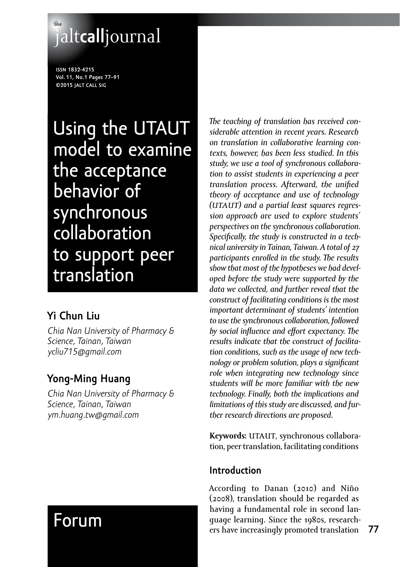# **the** jalt**call**journal

**issn 1832-4215 Vol. 11, No.1 Pages 77–91 ©2015 jalt call sig**

Using the UTAUT model to examine the acceptance behavior of synchronous collaboration to support peer translation

# **Yi Chun Liu**

*Chia Nan University of Pharmacy & Science, Tainan, Taiwan [ycliu715@gmail.com](mailto:ycliu715@gmail.com)*

# **Yong-Ming Huang**

*Chia Nan University of Pharmacy & Science, Tainan, Taiwan [ym.huang.tw@gmail.com](mailto:ym.huang.tw@gmail.com)*

# Forum

*The teaching of translation has received considerable attention in recent years. Research on translation in collaborative learning contexts, however, has been less studied. In this study, we use a tool of synchronous collaboration to assist students in experiencing a peer translation process. Afterward, the unified theory of acceptance and use of technology (utaut) and a partial least squares regression approach are used to explore students' perspectives on the synchronous collaboration. Specifically, the study is constructed in a technical university in Tainan, Taiwan. A total of 27 participants enrolled in the study. The results show that most of the hypotheses we had developed before the study were supported by the data we collected, and further reveal that the construct of facilitating conditions is the most important determinant of students' intention to use the synchronous collaboration, followed by social influence and effort expectancy. The results indicate that the construct of facilitation conditions, such as the usage of new technology or problem solution, plays a significant role when integrating new technology since students will be more familiar with the new technology. Finally, both the implications and limitations of this study are discussed, and further research directions are proposed.*

Keywords: UTAUT, synchronous collaboration, peer translation, facilitating conditions

# **Introduction**

According to Danan (2010) and Niño (2008), translation should be regarded as having a fundamental role in second language learning. Since the 1980s, researchers have increasingly promoted translation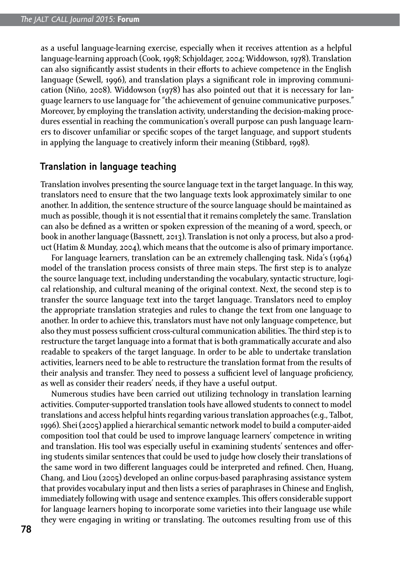as a useful language-learning exercise, especially when it receives attention as a helpful language-learning approach (Cook, 1998; Schjoldager, 2004; Widdowson, 1978). Translation can also significantly assist students in their efforts to achieve competence in the English language (Sewell, 1996), and translation plays a significant role in improving communication (Niño, 2008). Widdowson (1978) has also pointed out that it is necessary for language learners to use language for "the achievement of genuine communicative purposes." Moreover, by employing the translation activity, understanding the decision-making procedures essential in reaching the communication's overall purpose can push language learners to discover unfamiliar or specific scopes of the target language, and support students in applying the language to creatively inform their meaning (Stibbard, 1998).

#### **Translation in language teaching**

Translation involves presenting the source language text in the target language. In this way, translators need to ensure that the two language texts look approximately similar to one another. In addition, the sentence structure of the source language should be maintained as much as possible, though it is not essential that it remains completely the same. Translation can also be defined as a written or spoken expression of the meaning of a word, speech, or book in another language (Bassnett, 2013). Translation is not only a process, but also a product (Hatim & Munday, 2004), which means that the outcome is also of primary importance.

For language learners, translation can be an extremely challenging task. Nida's (1964) model of the translation process consists of three main steps. The first step is to analyze the source language text, including understanding the vocabulary, syntactic structure, logical relationship, and cultural meaning of the original context. Next, the second step is to transfer the source language text into the target language. Translators need to employ the appropriate translation strategies and rules to change the text from one language to another. In order to achieve this, translators must have not only language competence, but also they must possess sufficient cross-cultural communication abilities. The third step is to restructure the target language into a format that is both grammatically accurate and also readable to speakers of the target language. In order to be able to undertake translation activities, learners need to be able to restructure the translation format from the results of their analysis and transfer. They need to possess a sufficient level of language proficiency, as well as consider their readers' needs, if they have a useful output.

Numerous studies have been carried out utilizing technology in translation learning activities. Computer-supported translation tools have allowed students to connect to model translations and access helpful hints regarding various translation approaches (e.g., Talbot, 1996). Shei (2005) applied a hierarchical semantic network model to build a computer-aided composition tool that could be used to improve language learners' competence in writing and translation. His tool was especially useful in examining students' sentences and offering students similar sentences that could be used to judge how closely their translations of the same word in two different languages could be interpreted and refined. Chen, Huang, Chang, and Liou (2005) developed an online corpus-based paraphrasing assistance system that provides vocabulary input and then lists a series of paraphrases in Chinese and English, immediately following with usage and sentence examples. This offers considerable support for language learners hoping to incorporate some varieties into their language use while they were engaging in writing or translating. The outcomes resulting from use of this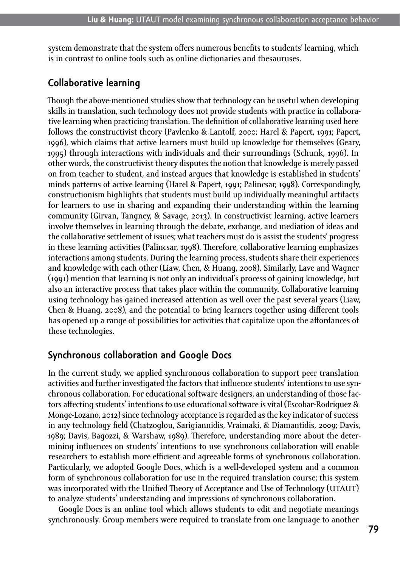system demonstrate that the system offers numerous benefits to students' learning, which is in contrast to online tools such as online dictionaries and thesauruses.

#### **Collaborative learning**

Though the above-mentioned studies show that technology can be useful when developing skills in translation, such technology does not provide students with practice in collaborative learning when practicing translation. The definition of collaborative learning used here follows the constructivist theory (Pavlenko & Lantolf, 2000; Harel & Papert, 1991; Papert, 1996), which claims that active learners must build up knowledge for themselves (Geary, 1995) through interactions with individuals and their surroundings (Schunk, 1996). In other words, the constructivist theory disputes the notion that knowledge is merely passed on from teacher to student, and instead argues that knowledge is established in students' minds patterns of active learning (Harel & Papert, 1991; Palincsar, 1998). Correspondingly, constructionism highlights that students must build up individually meaningful artifacts for learners to use in sharing and expanding their understanding within the learning community (Girvan, Tangney, & Savage, 2013). In constructivist learning, active learners involve themselves in learning through the debate, exchange, and mediation of ideas and the collaborative settlement of issues; what teachers must do is assist the students' progress in these learning activities (Palincsar, 1998). Therefore, collaborative learning emphasizes interactions among students. During the learning process, students share their experiences and knowledge with each other (Liaw, Chen, & Huang, 2008). Similarly, Lave and Wagner (1991) mention that learning is not only an individual's process of gaining knowledge, but also an interactive process that takes place within the community. Collaborative learning using technology has gained increased attention as well over the past several years (Liaw, Chen & Huang, 2008), and the potential to bring learners together using different tools has opened up a range of possibilities for activities that capitalize upon the affordances of these technologies.

#### **Synchronous collaboration and Google Docs**

In the current study, we applied synchronous collaboration to support peer translation activities and further investigated the factors that influence students' intentions to use synchronous collaboration. For educational software designers, an understanding of those factors affecting students' intentions to use educational software is vital (Escobar-Rodriguez & Monge-Lozano, 2012) since technology acceptance is regarded as the key indicator of success in any technology field (Chatzoglou, Sarigiannidis, Vraimaki, & Diamantidis, 2009; Davis, 1989; Davis, Bagozzi, & Warshaw, 1989). Therefore, understanding more about the determining influences on students' intentions to use synchronous collaboration will enable researchers to establish more efficient and agreeable forms of synchronous collaboration. Particularly, we adopted Google Docs, which is a well-developed system and a common form of synchronous collaboration for use in the required translation course; this system was incorporated with the Unified Theory of Acceptance and Use of Technology (UTAUT) to analyze students' understanding and impressions of synchronous collaboration.

Google Docs is an online tool which allows students to edit and negotiate meanings synchronously. Group members were required to translate from one language to another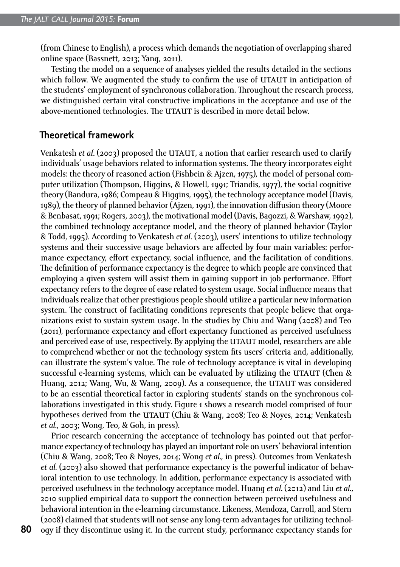(from Chinese to English), a process which demands the negotiation of overlapping shared online space (Bassnett, 2013; Yang, 2011).

Testing the model on a sequence of analyses yielded the results detailed in the sections which follow. We augmented the study to confirm the use of UTAUT in anticipation of the students' employment of synchronous collaboration. Throughout the research process, we distinguished certain vital constructive implications in the acceptance and use of the above-mentioned technologies. The UTAUT is described in more detail below.

#### **Theoretical framework**

Venkatesh *et al.* (2003) proposed the UTAUT, a notion that earlier research used to clarify individuals' usage behaviors related to information systems. The theory incorporates eight models: the theory of reasoned action (Fishbein & Ajzen, 1975), the model of personal computer utilization (Thompson, Higgins, & Howell, 1991; Triandis, 1977), the social cognitive theory (Bandura, 1986; Compeau & Higgins, 1995), the technology acceptance model (Davis, 1989), the theory of planned behavior (Ajzen, 1991), the innovation diffusion theory (Moore & Benbasat, 1991; Rogers, 2003), the motivational model (Davis, Bagozzi, & Warshaw, 1992), the combined technology acceptance model, and the theory of planned behavior (Taylor & Todd, 1995). According to Venkatesh *et al*. (2003), users' intentions to utilize technology systems and their successive usage behaviors are affected by four main variables: performance expectancy, effort expectancy, social influence, and the facilitation of conditions. The definition of performance expectancy is the degree to which people are convinced that employing a given system will assist them in gaining support in job performance. Effort expectancy refers to the degree of ease related to system usage. Social influence means that individuals realize that other prestigious people should utilize a particular new information system. The construct of facilitating conditions represents that people believe that organizations exist to sustain system usage. In the studies by Chiu and Wang (2008) and Teo (2011), performance expectancy and effort expectancy functioned as perceived usefulness and perceived ease of use, respectively. By applying the UTAUT model, researchers are able to comprehend whether or not the technology system fits users' criteria and, additionally, can illustrate the system's value. The role of technology acceptance is vital in developing successful e-learning systems, which can be evaluated by utilizing the UTAUT (Chen & Huang, 2012; Wang, Wu, & Wang, 2009). As a consequence, the UTAUT was considered to be an essential theoretical factor in exploring students' stands on the synchronous collaborations investigated in this study. Figure 1 shows a research model comprised of four hypotheses derived from the UTAUT (Chiu & Wang, 2008; Teo & Noyes, 2014; Venkatesh *et al.*, 2003; Wong, Teo, & Goh, in press).

Prior research concerning the acceptance of technology has pointed out that performance expectancy of technology has played an important role on users' behavioral intention (Chiu & Wang, 2008; Teo & Noyes, 2014; Wong *et al.,* in press). Outcomes from Venkatesh *et al.* (2003) also showed that performance expectancy is the powerful indicator of behavioral intention to use technology. In addition, performance expectancy is associated with perceived usefulness in the technology acceptance model. Huang *et al.* (2012) and Liu *et al.*, 2010 supplied empirical data to support the connection between perceived usefulness and behavioral intention in the e-learning circumstance. Likeness, Mendoza, Carroll, and Stern (2008) claimed that students will not sense any long-term advantages for utilizing technology if they discontinue using it. In the current study, performance expectancy stands for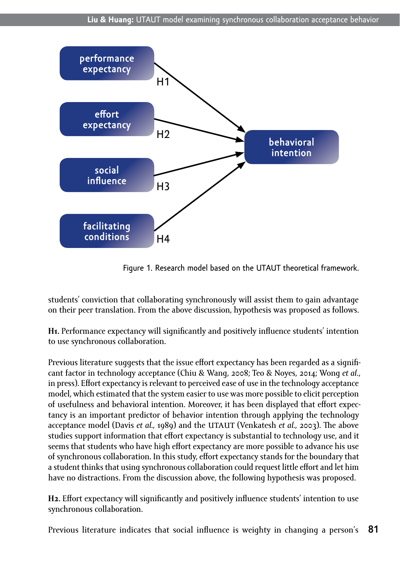

Figure 1. Research model based on the UTAUT theoretical framework.

students' conviction that collaborating synchronously will assist them to gain advantage on their peer translation. From the above discussion, hypothesis was proposed as follows.

**H1.** Performance expectancy will significantly and positively influence students' intention to use synchronous collaboration.

Previous literature suggests that the issue effort expectancy has been regarded as a significant factor in technology acceptance (Chiu & Wang, 2008; Teo & Noyes, 2014; Wong *et al*., in press). Effort expectancy is relevant to perceived ease of use in the technology acceptance model, which estimated that the system easier to use was more possible to elicit perception of usefulness and behavioral intention. Moreover, it has been displayed that effort expectancy is an important predictor of behavior intention through applying the technology acceptance model (Davis *et al.*, 1989) and the UTAUT (Venkatesh *et al.*, 2003). The above studies support information that effort expectancy is substantial to technology use, and it seems that students who have high effort expectancy are more possible to advance his use of synchronous collaboration. In this study, effort expectancy stands for the boundary that a student thinks that using synchronous collaboration could request little effort and let him have no distractions. From the discussion above, the following hypothesis was proposed.

**H2.** Effort expectancy will significantly and positively influence students' intention to use synchronous collaboration.

**81** Previous literature indicates that social influence is weighty in changing a person's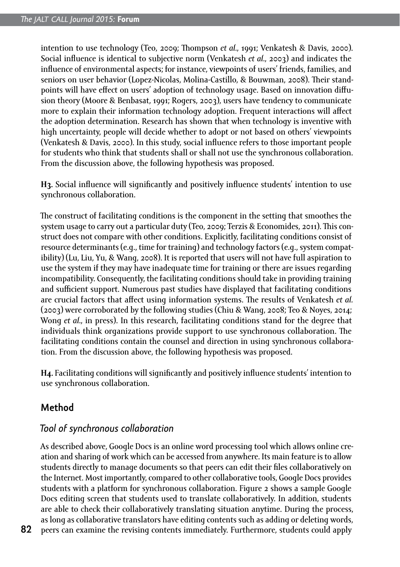intention to use technology (Teo, 2009; Thompson *et al.*, 1991; Venkatesh & Davis, 2000). Social influence is identical to subjective norm (Venkatesh *et al.*, 2003) and indicates the influence of environmental aspects; for instance, viewpoints of users' friends, families, and seniors on user behavior (Lopez-Nicolas, Molina-Castillo, & Bouwman, 2008). Their standpoints will have effect on users' adoption of technology usage. Based on innovation diffusion theory (Moore & Benbasat, 1991; Rogers, 2003), users have tendency to communicate more to explain their information technology adoption. Frequent interactions will affect the adoption determination. Research has shown that when technology is inventive with high uncertainty, people will decide whether to adopt or not based on others' viewpoints (Venkatesh & Davis, 2000). In this study, social influence refers to those important people for students who think that students shall or shall not use the synchronous collaboration. From the discussion above, the following hypothesis was proposed.

**H3.** Social influence will significantly and positively influence students' intention to use synchronous collaboration.

The construct of facilitating conditions is the component in the setting that smoothes the system usage to carry out a particular duty (Teo, 2009; Terzis & Economides, 2011). This construct does not compare with other conditions. Explicitly, facilitating conditions consist of resource determinants (e.g., time for training) and technology factors (e.g., system compatibility) (Lu, Liu, Yu, & Wang, 2008). It is reported that users will not have full aspiration to use the system if they may have inadequate time for training or there are issues regarding incompatibility. Consequently, the facilitating conditions should take in providing training and sufficient support. Numerous past studies have displayed that facilitating conditions are crucial factors that affect using information systems. The results of Venkatesh *et al.* (2003) were corroborated by the following studies (Chiu & Wang, 2008; Teo & Noyes, 2014; Wong *et al.*, in press). In this research, facilitating conditions stand for the degree that individuals think organizations provide support to use synchronous collaboration. The facilitating conditions contain the counsel and direction in using synchronous collaboration. From the discussion above, the following hypothesis was proposed.

**H4.** Facilitating conditions will significantly and positively influence students' intention to use synchronous collaboration.

# **Method**

### *Tool of synchronous collaboration*

As described above, Google Docs is an online word processing tool which allows online creation and sharing of work which can be accessed from anywhere. Its main feature is to allow students directly to manage documents so that peers can edit their files collaboratively on the Internet. Most importantly, compared to other collaborative tools, Google Docs provides students with a platform for synchronous collaboration. Figure 2 shows a sample Google Docs editing screen that students used to translate collaboratively. In addition, students are able to check their collaboratively translating situation anytime. During the process, as long as collaborative translators have editing contents such as adding or deleting words, peers can examine the revising contents immediately. Furthermore, students could apply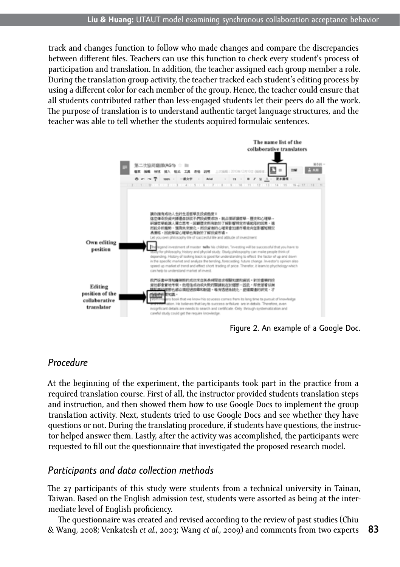track and changes function to follow who made changes and compare the discrepancies between different files. Teachers can use this function to check every student's process of participation and translation. In addition, the teacher assigned each group member a role. During the translation group activity, the teacher tracked each student's editing process by using a different color for each member of the group. Hence, the teacher could ensure that all students contributed rather than less-engaged students let their peers do all the work. The purpose of translation is to understand authentic target language structures, and the teacher was able to tell whether the students acquired formulaic sentences.



Figure 2. An example of a Google Doc.

# *Procedure*

At the beginning of the experiment, the participants took part in the practice from a required translation course. First of all, the instructor provided students translation steps and instruction, and then showed them how to use Google Docs to implement the group translation activity. Next, students tried to use Google Docs and see whether they have questions or not. During the translating procedure, if students have questions, the instructor helped answer them. Lastly, after the activity was accomplished, the participants were requested to fill out the questionnaire that investigated the proposed research model.

### *Participants and data collection methods*

The 27 participants of this study were students from a technical university in Tainan, Taiwan. Based on the English admission test, students were assorted as being at the intermediate level of English proficiency.

The questionnaire was created and revised according to the review of past studies (Chiu & Wang, 2008; Venkatesh *et al.*, 2003; Wang *et al.*, 2009) and comments from two experts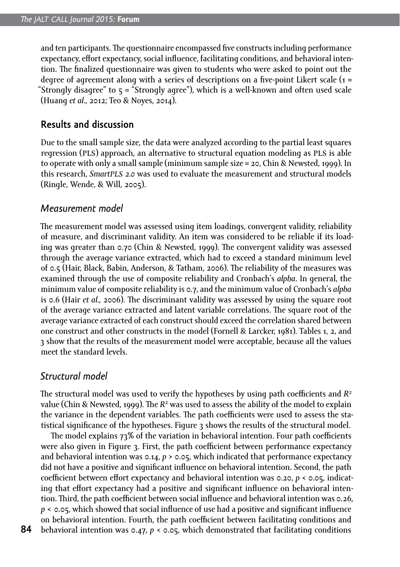and ten participants. The questionnaire encompassed five constructs including performance expectancy, effort expectancy, social influence, facilitating conditions, and behavioral intention. The finalized questionnaire was given to students who were asked to point out the degree of agreement along with a series of descriptions on a five-point Likert scale  $(1 =$ "Strongly disagree" to 5 = "Strongly agree"), which is a well-known and often used scale (Huang *et al.*, 2012; Teo & Noyes, 2014).

#### **Results and discussion**

Due to the small sample size, the data were analyzed according to the partial least squares regression (pls) approach, an alternative to structural equation modeling as pls is able to operate with only a small sample (minimum sample size = 20, Chin & Newsted, 1999). In this research, *Smartpls 2.0* was used to evaluate the measurement and structural models (Ringle, Wende, & Will, 2005).

#### *Measurement model*

The measurement model was assessed using item loadings, convergent validity, reliability of measure, and discriminant validity. An item was considered to be reliable if its loading was greater than 0.70 (Chin & Newsted, 1999). The convergent validity was assessed through the average variance extracted, which had to exceed a standard minimum level of 0.5 (Hair, Black, Babin, Anderson, & Tatham, 2006). The reliability of the measures was examined through the use of composite reliability and Cronbach's *alpha*. In general, the minimum value of composite reliability is 0.7, and the minimum value of Cronbach's *alpha* is 0.6 (Hair *et al.*, 2006). The discriminant validity was assessed by using the square root of the average variance extracted and latent variable correlations. The square root of the average variance extracted of each construct should exceed the correlation shared between one construct and other constructs in the model (Fornell & Larcker, 1981). Tables 1, 2, and 3 show that the results of the measurement model were acceptable, because all the values meet the standard levels.

### *Structural model*

The structural model was used to verify the hypotheses by using path coefficients and *R2* value (Chin & Newsted, 1999). The R<sup>2</sup> was used to assess the ability of the model to explain the variance in the dependent variables. The path coefficients were used to assess the statistical significance of the hypotheses. Figure 3 shows the results of the structural model.

The model explains 73% of the variation in behavioral intention. Four path coefficients were also given in Figure 3. First, the path coefficient between performance expectancy and behavioral intention was  $0.14$ ,  $p > 0.05$ , which indicated that performance expectancy did not have a positive and significant influence on behavioral intention. Second, the path coefficient between effort expectancy and behavioral intention was 0.20, *p* < 0.05, indicating that effort expectancy had a positive and significant influence on behavioral intention. Third, the path coefficient between social influence and behavioral intention was 0.26, *p* < 0.05, which showed that social influence of use had a positive and significant influence on behavioral intention. Fourth, the path coefficient between facilitating conditions and behavioral intention was 0.47, *p* < 0.05, which demonstrated that facilitating conditions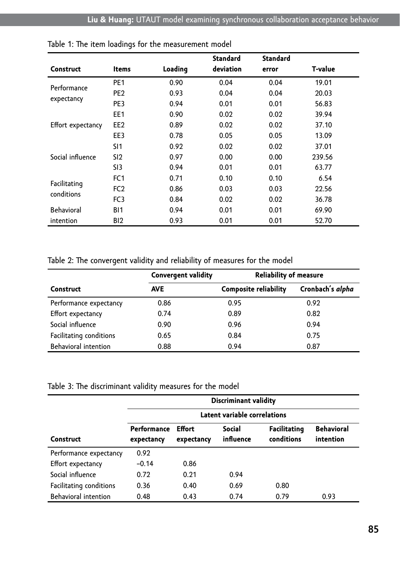|                            |                 |         | <b>Standard</b> | <b>Standard</b> |                |
|----------------------------|-----------------|---------|-----------------|-----------------|----------------|
| <b>Construct</b>           | <b>Items</b>    | Loading | deviation       | error           | <b>T-value</b> |
| Performance<br>expectancy  | PE <sub>1</sub> | 0.90    | 0.04            | 0.04            | 19.01          |
|                            | PE <sub>2</sub> | 0.93    | 0.04            | 0.04            | 20.03          |
|                            | PE3             | 0.94    | 0.01            | 0.01            | 56.83          |
| Effort expectancy          | EE1             | 0.90    | 0.02            | 0.02            | 39.94          |
|                            | EE <sub>2</sub> | 0.89    | 0.02            | 0.02            | 37.10          |
|                            | EE3             | 0.78    | 0.05            | 0.05            | 13.09          |
| Social influence           | SI1             | 0.92    | 0.02            | 0.02            | 37.01          |
|                            | SI2             | 0.97    | 0.00            | 0.00            | 239.56         |
|                            | SI3             | 0.94    | 0.01            | 0.01            | 63.77          |
| Facilitating<br>conditions | FC <sub>1</sub> | 0.71    | 0.10            | 0.10            | 6.54           |
|                            | FC <sub>2</sub> | 0.86    | 0.03            | 0.03            | 22.56          |
|                            | FC <sub>3</sub> | 0.84    | 0.02            | 0.02            | 36.78          |
| Behavioral                 | B11             | 0.94    | 0.01            | 0.01            | 69.90          |
| intention                  | BI <sub>2</sub> | 0.93    | 0.01            | 0.01            | 52.70          |

|  |  | Table 1: The item loadings for the measurement model |  |
|--|--|------------------------------------------------------|--|
|--|--|------------------------------------------------------|--|

#### Table 2: The convergent validity and reliability of measures for the model

|                         | <b>Convergent validity</b> | <b>Reliability of measure</b> |                  |  |
|-------------------------|----------------------------|-------------------------------|------------------|--|
| <b>Construct</b>        | <b>AVE</b>                 | <b>Composite reliability</b>  | Cronbach's alpha |  |
| Performance expectancy  | 0.86                       | 0.95                          | 0.92             |  |
| Effort expectancy       | 0.74                       | 0.89                          | 0.82             |  |
| Social influence        | 0.90                       | 0.96                          | 0.94             |  |
| Facilitating conditions | 0.65                       | 0.84                          | 0.75             |  |
| Behavioral intention    | 0.88                       | 0.94                          | 0.87             |  |

Table 3: The discriminant validity measures for the model

|                         | <b>Discriminant validity</b> |                      |                     |                                   |                                |  |
|-------------------------|------------------------------|----------------------|---------------------|-----------------------------------|--------------------------------|--|
|                         | Latent variable correlations |                      |                     |                                   |                                |  |
| Construct               | Performance<br>expectancy    | Effort<br>expectancy | Social<br>influence | <b>Facilitating</b><br>conditions | <b>Behavioral</b><br>intention |  |
| Performance expectancy  | 0.92                         |                      |                     |                                   |                                |  |
| Effort expectancy       | $-0.14$                      | 0.86                 |                     |                                   |                                |  |
| Social influence        | 0.72                         | 0.21                 | 0.94                |                                   |                                |  |
| Facilitating conditions | 0.36                         | 0.40                 | 0.69                | 0.80                              |                                |  |
| Behavioral intention    | 0.48                         | 0.43                 | 0.74                | 0.79                              | 0.93                           |  |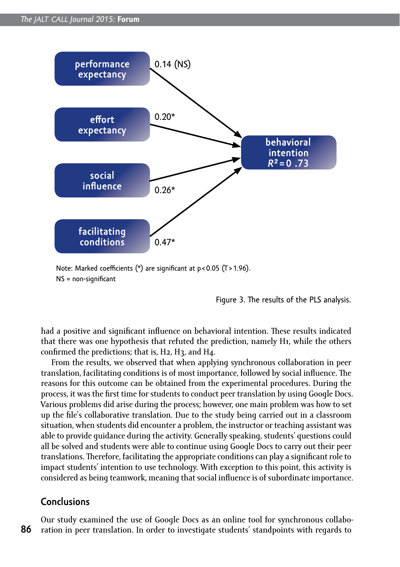

Note: Marked coefficients (\*) are significant at p < 0.05 (T > 1.96). NS = non-significant

Figure 3. The results of the PLS analysis.

had a positive and significant influence on behavioral intention. These results indicated that there was one hypothesis that refuted the prediction, namely H1, while the others confirmed the predictions; that is, H2, H3, and H4.

From the results, we observed that when applying synchronous collaboration in peer translation, facilitating conditions is of most importance, followed by social influence. The reasons for this outcome can be obtained from the experimental procedures. During the process, it was the first time for students to conduct peer translation by using Google Docs. Various problems did arise during the process; however, one main problem was how to set up the file's collaborative translation. Due to the study being carried out in a classroom situation, when students did encounter a problem, the instructor or teaching assistant was able to provide guidance during the activity. Generally speaking, students' questions could all be solved and students were able to continue using Google Docs to carry out their peer translations. Therefore, facilitating the appropriate conditions can play a significant role to impact students' intention to use technology. With exception to this point, this activity is considered as being teamwork, meaning that social influence is of subordinate importance.

### **Conclusions**

**86** Our study examined the use of Google Docs as an online tool for synchronous collaboration in peer translation. In order to investigate students' standpoints with regards to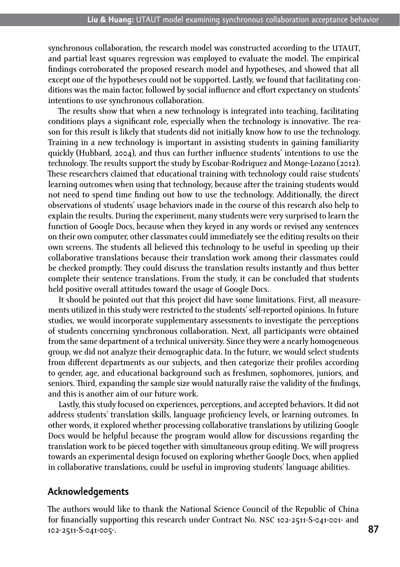synchronous collaboration, the research model was constructed according to the UTAUT. and partial least squares regression was employed to evaluate the model. The empirical findings corroborated the proposed research model and hypotheses, and showed that all except one of the hypotheses could not be supported. Lastly, we found that facilitating conditions was the main factor, followed by social influence and effort expectancy on students' intentions to use synchronous collaboration.

The results show that when a new technology is integrated into teaching, facilitating conditions plays a significant role, especially when the technology is innovative. The reason for this result is likely that students did not initially know how to use the technology. Training in a new technology is important in assisting students in gaining familiarity quickly (Hubbard, 2004), and thus can further influence students' intentions to use the technology. The results support the study by Escobar-Rodriguez and Monge-Lozano (2012). These researchers claimed that educational training with technology could raise students' learning outcomes when using that technology, because after the training students would not need to spend time finding out how to use the technology. Additionally, the direct observations of students' usage behaviors made in the course of this research also help to explain the results. During the experiment, many students were very surprised to learn the function of Google Docs, because when they keyed in any words or revised any sentences on their own computer, other classmates could immediately see the editing results on their own screens. The students all believed this technology to be useful in speeding up their collaborative translations because their translation work among their classmates could be checked promptly. They could discuss the translation results instantly and thus better complete their sentence translations. From the study, it can be concluded that students held positive overall attitudes toward the usage of Google Docs.

It should be pointed out that this project did have some limitations. First, all measurements utilized in this study were restricted to the students' self-reported opinions. In future studies, we would incorporate supplementary assessments to investigate the perceptions of students concerning synchronous collaboration. Next, all participants were obtained from the same department of a technical university. Since they were a nearly homogeneous group, we did not analyze their demographic data. In the future, we would select students from different departments as our subjects, and then categorize their profiles according to gender, age, and educational background such as freshmen, sophomores, juniors, and seniors. Third, expanding the sample size would naturally raise the validity of the findings, and this is another aim of our future work.

Lastly, this study focused on experiences, perceptions, and accepted behaviors. It did not address students' translation skills, language proficiency levels, or learning outcomes. In other words, it explored whether processing collaborative translations by utilizing Google Docs would be helpful because the program would allow for discussions regarding the translation work to be pieced together with simultaneous group editing. We will progress towards an experimental design focused on exploring whether Google Docs, when applied in collaborative translations, could be useful in improving students' language abilities.

#### **Acknowledgements**

The authors would like to thank the National Science Council of the Republic of China for financially supporting this research under Contract No. nsc 102-2511-S-041-001- and 102-2511-S-041-005-.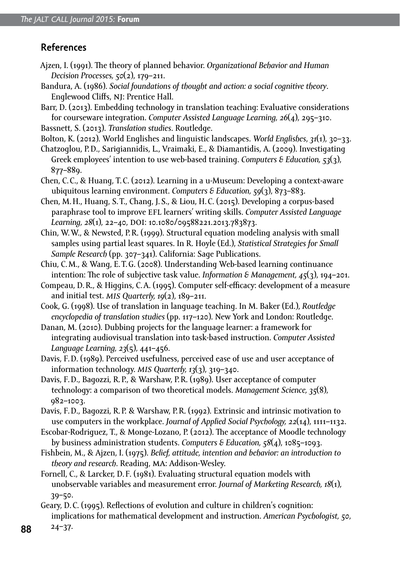## **References**

- Ajzen, I. (1991). The theory of planned behavior. *Organizational Behavior and Human Decision Processes, 50*(2), 179–211.
- Bandura, A. (1986). *Social foundations of thought and action: a social cognitive theory*. Englewood Cliffs, NJ: Prentice Hall.
- Barr, D. (2013). Embedding technology in translation teaching: Evaluative considerations for courseware integration. *Computer Assisted Language Learning, 26*(4), 295–310.
- Bassnett, S. (2013). *Translation studies*. Routledge.
- Bolton, K. (2012). World Englishes and linguistic landscapes. *World Englishes*, *31*(1), 30–33.

Chatzoglou, P.D., Sarigiannidis, L., Vraimaki, E., & Diamantidis, A. (2009). Investigating Greek employees' intention to use web-based training. *Computers & Education, 53*(3), 877–889.

Chen, C.C., & Huang, T.C. (2012). Learning in a u-Museum: Developing a context-aware ubiquitous learning environment. *Computers & Education, 59*(3), 873–883.

Chen, M.H., Huang, S.T., Chang, J.S., & Liou, H.C. (2015). Developing a corpus-based paraphrase tool to improve efl learners' writing skills. *Computer Assisted Language Learning, 28*(1), 22-40, DOI: 10.1080/09588221.2013.783873.

Chin, W.W., & Newsted, P.R. (1999). Structural equation modeling analysis with small samples using partial least squares. In R. Hoyle (Ed.), *Statistical Strategies for Small Sample Research* (pp. 307–341). California: Sage Publications.

Chiu, C.M., & Wang, E.T.G. (2008). Understanding Web-based learning continuance intention: The role of subjective task value. *Information & Management, 45*(3), 194–201.

Compeau, D.R., & Higgins, C.A. (1995). Computer self-efficacy: development of a measure and initial test. *mis Quarterly, 19*(2), 189–211.

Cook, G. (1998). Use of translation in language teaching. In M. Baker (Ed.), *Routledge encyclopedia of translation studies* (pp. 117–120). New York and London: Routledge.

Danan, M. (2010). Dubbing projects for the language learner: a framework for integrating audiovisual translation into task-based instruction. *Computer Assisted Language Learning, 23*(5), 441–456.

Davis, F.D. (1989). Perceived usefulness, perceived ease of use and user acceptance of information technology. *mis Quarterly, 13*(3), 319–340.

Davis, F.D., Bagozzi, R.P., & Warshaw, P.R. (1989). User acceptance of computer technology: a comparison of two theoretical models. *Management Science, 35*(8), 982–1003.

Davis, F.D., Bagozzi, R.P. & Warshaw, P.R. (1992). Extrinsic and intrinsic motivation to use computers in the workplace. *Journal of Applied Social Psychology, 22*(14), 1111–1132.

Escobar-Rodriguez, T., & Monge-Lozano, P. (2012). The acceptance of Moodle technology by business administration students. *Computers & Education, 58*(4), 1085–1093.

Fishbein, M., & Ajzen, I. (1975). *Belief, attitude, intention and behavior: an introduction to theory and research*. Reading, ma: Addison-Wesley.

Fornell, C., & Larcker, D. F. (1981). Evaluating structural equation models with unobservable variables and measurement error. *Journal of Marketing Research, 18*(1), 39–50.

Geary, D.C. (1995). Reflections of evolution and culture in children's cognition: implications for mathematical development and instruction. *American Psychologist, 50*,

**<sup>88</sup>** 24–37.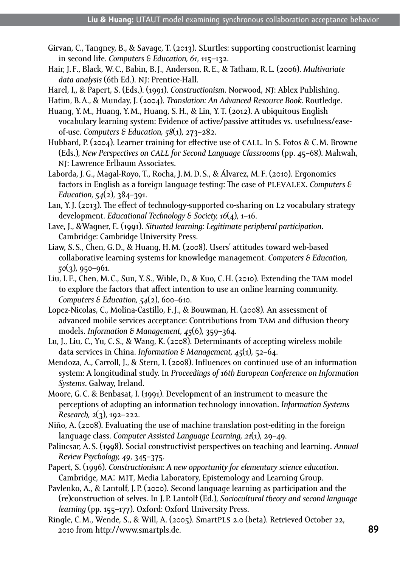- Girvan, C., Tangney, B., & Savage, T. (2013). SLurtles: supporting constructionist learning in second life. *Computers & Education, 61*, 115–132.
- Hair, J. F., Black, W.C., Babin, B.J., Anderson, R.E., & Tatham, R. L. (2006). *Multivariate data analysis* (6th Ed.). nj: Prentice-Hall.

Harel, I,, & Papert, S. (Eds.). (1991). *Constructionism*. Norwood, nj: Ablex Publishing.

- Hatim, B.A., & Munday, J. (2004). *Translation: An Advanced Resource Book.* Routledge.
- Huang, Y.M., Huang, Y.M., Huang, S.H., & Lin, Y.T. (2012). A ubiquitous English vocabulary learning system: Evidence of active/passive attitudes vs. usefulness/easeof-use. *Computers & Education, 58*(1), 273–282.
- Hubbard, P. (2004). Learner training for effective use of call. In S. Fotos & C.M. Browne (Eds.), *New Perspectives on call for Second Language Classrooms* (pp. 45–68). Mahwah, NI: Lawrence Erlbaum Associates.
- Laborda, J.G., Magal-Royo, T., Rocha, J.M.D.S., & Álvarez, M. F. (2010). Ergonomics factors in English as a foreign language testing: The case of plevalex. *Computers & Education, 54*(2), 384–391.
- Lan, Y. I. (2013). The effect of technology-supported co-sharing on L2 vocabulary strategy development. *Educational Technology & Society, 16*(4), 1–16.
- Lave, J., &Wagner, E. (1991). *Situated learning: Legitimate peripheral participation*. Cambridge: Cambridge University Press.
- Liaw, S.S., Chen, G.D., & Huang, H.M. (2008). Users' attitudes toward web-based collaborative learning systems for knowledge management. *Computers & Education, 50*(3), 950–961.
- Liu, I. F., Chen, M.C., Sun, Y.S., Wible, D., & Kuo, C.H. (2010). Extending the tam model to explore the factors that affect intention to use an online learning community. *Computers & Education, 54*(2), 600–610.
- Lopez-Nicolas, C., Molina-Castillo, F.J., & Bouwman, H. (2008). An assessment of advanced mobile services acceptance: Contributions from TAM and diffusion theory models. *Information & Management, 45*(6), 359–364.
- Lu, J., Liu, C., Yu, C.S., & Wang, K. (2008). Determinants of accepting wireless mobile data services in China. *Information & Management, 45*(1), 52–64.
- Mendoza, A., Carroll, J., & Stern, I. (2008). Influences on continued use of an information system: A longitudinal study. In *Proceedings of 16th European Conference on Information Systems*. Galway, Ireland.
- Moore, G.C. & Benbasat, I. (1991). Development of an instrument to measure the perceptions of adopting an information technology innovation. *Information Systems Research, 2*(3), 192–222.
- Niño, A. (2008). Evaluating the use of machine translation post-editing in the foreign language class. *Computer Assisted Language Learning, 21*(1), 29–49.
- Palincsar, A.S. (1998). Social constructivist perspectives on teaching and learning. *Annual Review Psychology, 49*, 345–375.
- Papert, S. (1996). *Constructionism: A new opportunity for elementary science education*. Cambridge, MA: MIT, Media Laboratory, Epistemology and Learning Group.
- Pavlenko, A., & Lantolf, J.P. (2000). Second language learning as participation and the (re)construction of selves. In J.P. Lantolf (Ed.), *Sociocultural theory and second language learning* (pp. 155–177). Oxford: Oxford University Press.
- Ringle, C.M., Wende, S., & Will, A. (2005). Smartpls 2.0 (beta). Retrieved October 22, 2010 from<http://www.smartpls.de>.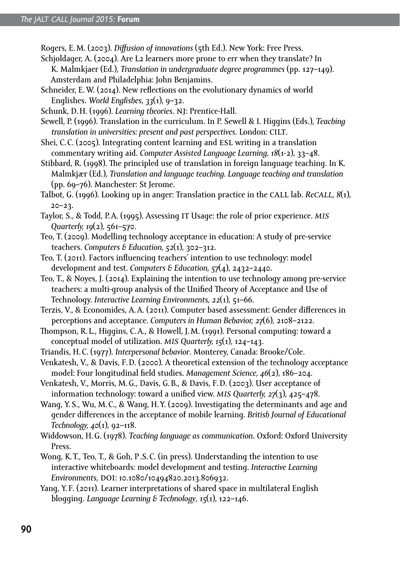Rogers, E.M. (2003). *Diffusion of innovations* (5th Ed.). New York: Free Press.

- Schjoldager, A. (2004). Are L2 learners more prone to err when they translate? In K. Malmkjaer (Ed.), *Translation in undergraduate degree programmes* (pp. 127–149). Amsterdam and Philadelphia: John Benjamins.
- Schneider, E.W. (2014). New reflections on the evolutionary dynamics of world Englishes. *World Englishes*, *33*(1), 9–32.
- Schunk, D.H. (1996). *Learning theories*. NJ: Prentice-Hall.
- Sewell, P. (1996). Translation in the curriculum. In P. Sewell & I. Higgins (Eds.), *Teaching translation in universities: present and past perspectives*. London: cilt.
- Shei, C.C. (2005). Integrating content learning and ESL writing in a translation commentary writing aid. *Computer Assisted Language Learning, 18*(1-2), 33–48.
- Stibbard, R. (1998). The principled use of translation in foreign language teaching. In K. Malmkjær (Ed.), *Translation and language teaching. Language teaching and translation* (pp. 69–76). Manchester: St Jerome.
- Talbot, G. (1996). Looking up in anger: Translation practice in the call lab. *Recall, 8*(1), 20–23.
- Taylor, S., & Todd, P.A. (1995). Assessing it Usage: the role of prior experience. *mis Quarterly, 19*(2), 561–570.
- Teo, T. (2009). Modelling technology acceptance in education: A study of pre-service teachers. *Computers & Education, 52*(1), 302–312.
- Teo, T. (2011). Factors influencing teachers' intention to use technology: model development and test. *Computers & Education, 57*(4), 2432–2440.
- Teo, T., & Noyes, J. (2014). Explaining the intention to use technology among pre-service teachers: a multi-group analysis of the Unified Theory of Acceptance and Use of Technology. *Interactive Learning Environments, 22*(1), 51–66.
- Terzis, [V.,](http://www.sciencedirect.com/science/article/pii/S0747563211001117) & Economides, A.A. (2011). Computer based assessment: Gender differences in perceptions and acceptance. *Computers in Human Behavior, 27*(6), 2108–2122.
- Thompson, R. L., Higgins, C.A., & Howell, J.M. (1991). Personal computing: toward a conceptual model of utilization. *mis Quarterly, 15*(1), 124–143.
- Triandis, H.C. (1977). *Interpersonal behavior*. Monterey, Canada: Brooke/Cole.
- Venkatesh, V., & Davis, F.D. (2000). A theoretical extension of the technology acceptance model: Four longitudinal field studies. *Management Science, 46*(2), 186–204.
- Venkatesh, V., Morris, M.G., Davis, G.B., & Davis, F.D. (2003). User acceptance of information technology: toward a unified view. *mis Quarterly, 27*(3), 425–478.
- Wang, Y.S., Wu, M.C., & Wang, H.Y. (2009). Investigating the determinants and age and gender differences in the acceptance of mobile learning. *British Journal of Educational Technology, 40*(1), 92–118.
- Widdowson, H.G. (1978). *Teaching language as communication*. Oxford: Oxford University Press.
- Wong, K.T., Teo, T., & Goh, P.S.C. (in press). Understanding the intention to use interactive whiteboards: model development and testing. *Interactive Learning Environments*, DOI: 10.1080/10494820.2013.806932.
- Yang, Y.F. (2011). Learner interpretations of shared space in multilateral English blogging. *Language Learning & Technology*, *15*(1), 122–146.